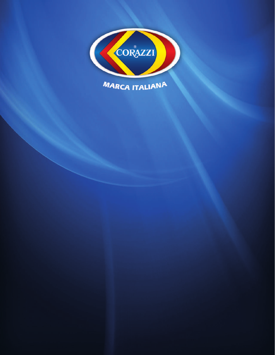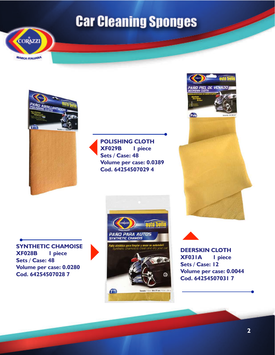



**POLISHING CLOTH XF029B 1 piece Sets / Case: 48 Volume per case: 0.0389 Cod. 64254507029 4**



**SYNTHETIC CHAMOISE XF028B 1 piece Sets / Case: 48 Volume per case: 0.0280 Cod. 64254507028 7**



 $= 34x51$  cm / 134 x 20 in

Pano

**DEERSKIN CLOTH XF031A 1 piece Sets / Case: 12 Volume per case: 0.0044 Cod. 64254507031 7**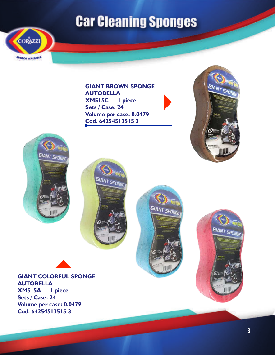

**GIANT BROWN SPONGE AUTOBELLA XM515C 1 piece Sets / Case: 24 Volume per case: 0.0479 Cod. 64254513515 3**











**GIANT COLORFUL SPONGE AUTOBELLA XM515A 1 piece**

**Sets / Case: 24 Volume per case: 0.0479 Cod. 64254513515 3**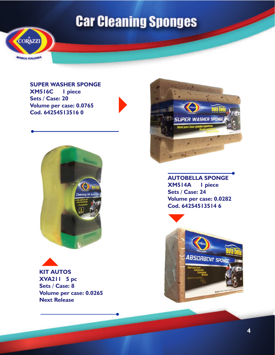

**SUPER WASHER SPONGE XM516C 1 piece Sets / Case: 20 Volume per case: 0.0765 Cod. 64254513516 0**







**AUTOBELLA SPONGE XM514A 1 piece Sets / Case: 24 Volume per case: 0.0282 Cod. 64254513514 6**

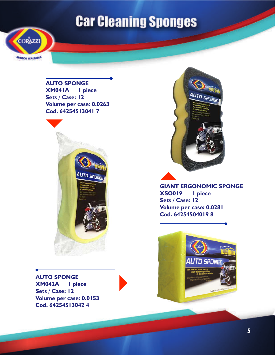

**AUTO SPONGE XM041A 1 piece Sets / Case: 12 Volume per case: 0.0263 Cod. 64254513041 7**



**AUTO SPONGE XM042A 1 piece Sets / Case: 12 Volume per case: 0.0153 Cod. 64254513042 4**



**GIANT ERGONOMIC SPONGE XSO019 1 piece Sets / Case: 12 Volume per case: 0.0281 Cod. 64254504019 8**

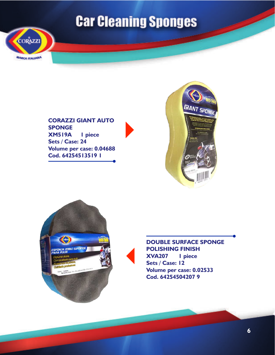

**CORAZZI GIANT AUTO SPONGE XM519A 1 piece Sets / Case: 24 Volume per case: 0.04688 Cod. 64254513519 1**







**DOUBLE SURFACE SPONGE POLISHING FINISH XVA207 1 piece Sets / Case: 12 Volume per case: 0.02533 Cod. 64254504207 9**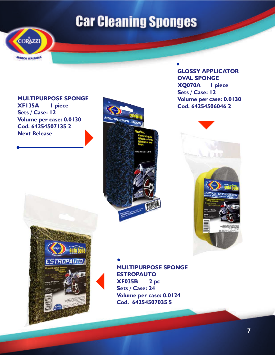

**MULTIPURPOSE SPONGE XF135A 1 piece Sets / Case: 12 Volume per case: 0.0130 Cod. 64254507135 2 Next Release**



**GLOSSY APPLICATOR OVAL SPONGE XQ070A 1 piece Sets / Case: 12 Volume per case: 0.0130 Cod. 64254506046 2**





**MULTIPURPOSE SPONGE ESTROPAUTO XF035B 2 pc Sets / Case: 24 Volume per case: 0.0124 Cod. 64254507035 5**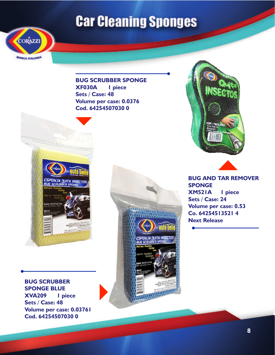

**BUG SCRUBBER SPONGE XF030A 1 piece Sets / Case: 48 Volume per case: 0.0376 Cod. 64254507030 0**



**BUG AND TAR REMOVER SPONGE XM521A 1 piece Sets / Case: 24 Volume per case: 0.53 Co. 64254513521 4 Next Release**

**BUG SCRUBBER SPONGE BLUE XVA209 1 piece Sets / Case: 48 Volume per case: 0.03761 Cod. 64254507030 0**

ESPONJA NUITA INSECTOS<br>BUG SCRUBBER SPONGE

WATER SAME CALCU was sold as the property of the property of the property of  $\mathbb{R}^2$ .

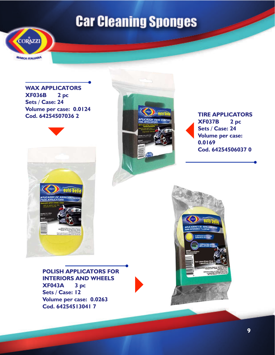

**WAX APPLICATORS XF036B 2 pc Sets / Case: 24 Volume per case: 0.0124**





**XF037B 2 pc Sets / Case: 24 Volume per case: 0.0169 Cod. 64254506037 0**



**POLISH APPLICATORS FOR INTERIORS AND WHEELS XF043A 3 pc Sets / Case: 12 Volume per case: 0.0263 Cod. 64254513041 7**